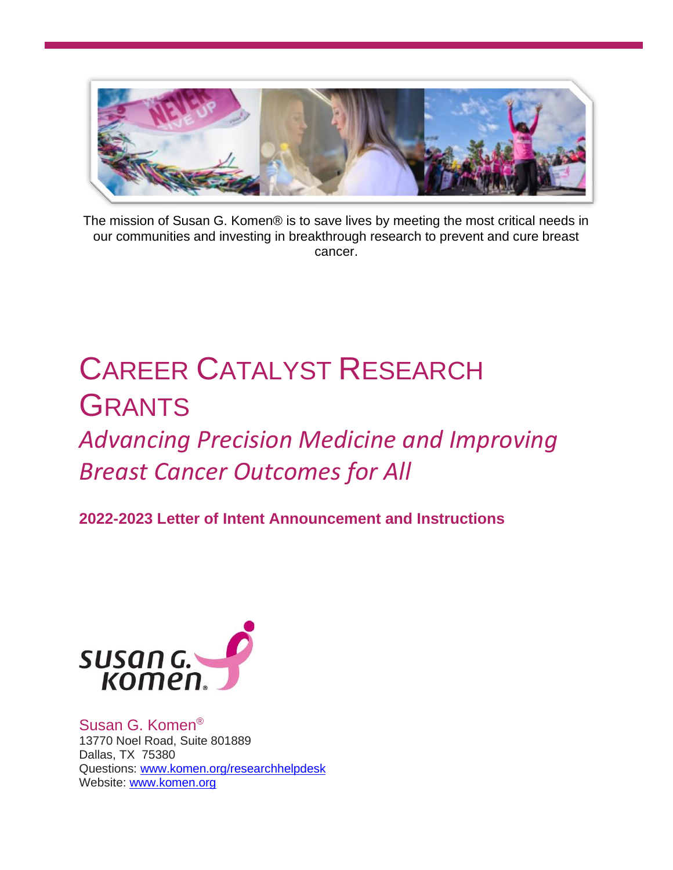

The mission of Susan G. Komen® is to save lives by meeting the most critical needs in our communities and investing in breakthrough research to prevent and cure breast cancer.

# CAREER CATALYST RESEARCH **GRANTS** *Advancing Precision Medicine and Improving Breast Cancer Outcomes for All*

**2022-2023 Letter of Intent Announcement and Instructions**



Susan G. Komen® 13770 Noel Road, Suite 801889 Dallas, TX 75380 Questions: [www.komen.org/researchhelpdesk](http://www.komen.org/researchhelpdesk)  Website: [www.komen.org](http://www.komen.org/)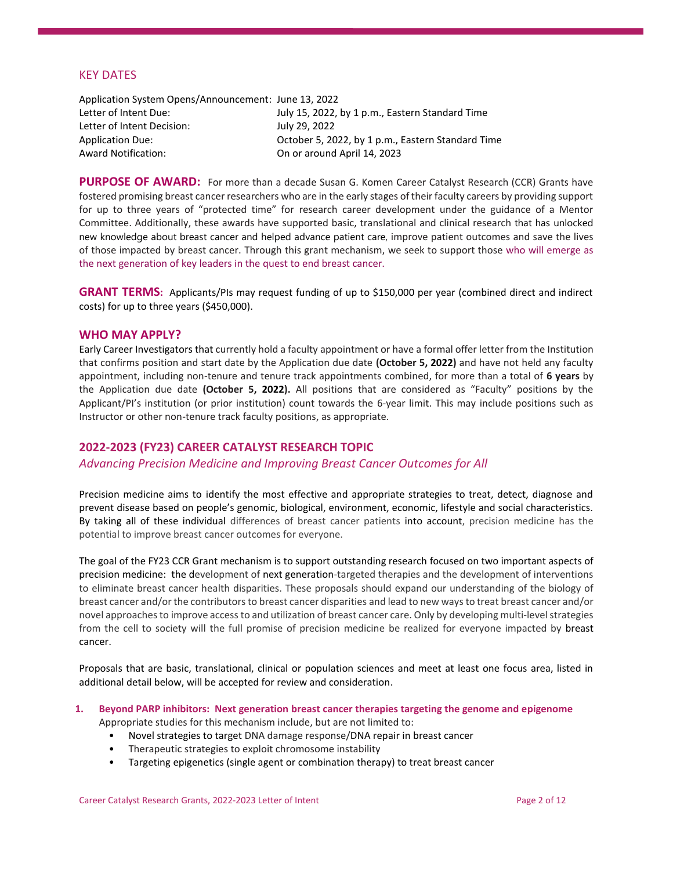# KEY DATES

Application System Opens/Announcement: June 13, 2022 Letter of Intent Due: July 15, 2022, by 1 p.m., Eastern Standard Time Letter of Intent Decision: July 29, 2022 Application Due: Corober 5, 2022, by 1 p.m., Eastern Standard Time Award Notification: On or around April 14, 2023

PURPOSE OF AWARD: For more than a decade Susan G. Komen Career Catalyst Research (CCR) Grants have fostered promising breast cancer researchers who are in the early stages of their faculty careers by providing support for up to three years of "protected time" for research career development under the guidance of a Mentor Committee. Additionally, these awards have supported basic, translational and clinical research that has unlocked new knowledge about breast cancer and helped advance patient care, improve patient outcomes and save the lives of those impacted by breast cancer. Through this grant mechanism, we seek to support those who will emerge as the next generation of key leaders in the quest to end breast cancer.

**GRANT TERMS:** Applicants/PIs may request funding of up to \$150,000 per year (combined direct and indirect costs) for up to three years (\$450,000).

# **WHO MAY APPLY?**

Early Career Investigators that currently hold a faculty appointment or have a formal offer letter from the Institution that confirms position and start date by the Application due date **(October 5, 2022)** and have not held any faculty appointment, including non-tenure and tenure track appointments combined, for more than a total of **6 years** by the Application due date **(October 5, 2022).** All positions that are considered as "Faculty" positions by the Applicant/PI's institution (or prior institution) count towards the 6-year limit. This may include positions such as Instructor or other non-tenure track faculty positions, as appropriate.

# **2022-2023 (FY23) CAREER CATALYST RESEARCH TOPIC**

# *Advancing Precision Medicine and Improving Breast Cancer Outcomes for All*

Precision medicine aims to identify the most effective and appropriate strategies to treat, detect, diagnose and prevent disease based on people's genomic, biological, environment, economic, lifestyle and social characteristics. By taking all of these individual differences of breast cancer patients into account, precision medicine has the potential to improve breast cancer outcomes for everyone.

The goal of the FY23 CCR Grant mechanism is to support outstanding research focused on two important aspects of precision medicine: the development of next generation-targeted therapies and the development of interventions to eliminate breast cancer health disparities. These proposals should expand our understanding of the biology of breast cancer and/or the contributors to breast cancer disparities and lead to new ways to treat breast cancer and/or novel approaches to improve access to and utilization of breast cancer care. Only by developing multi-level strategies from the cell to society will the full promise of precision medicine be realized for everyone impacted by breast cancer.

Proposals that are basic, translational, clinical or population sciences and meet at least one focus area, listed in additional detail below, will be accepted for review and consideration.

- **1. Beyond PARP inhibitors: Next generation breast cancer therapies targeting the genome and epigenome** Appropriate studies for this mechanism include, but are not limited to:
	- Novel strategies to target DNA damage response/DNA repair in breast cancer
	- Therapeutic strategies to exploit chromosome instability
	- Targeting epigenetics (single agent or combination therapy) to treat breast cancer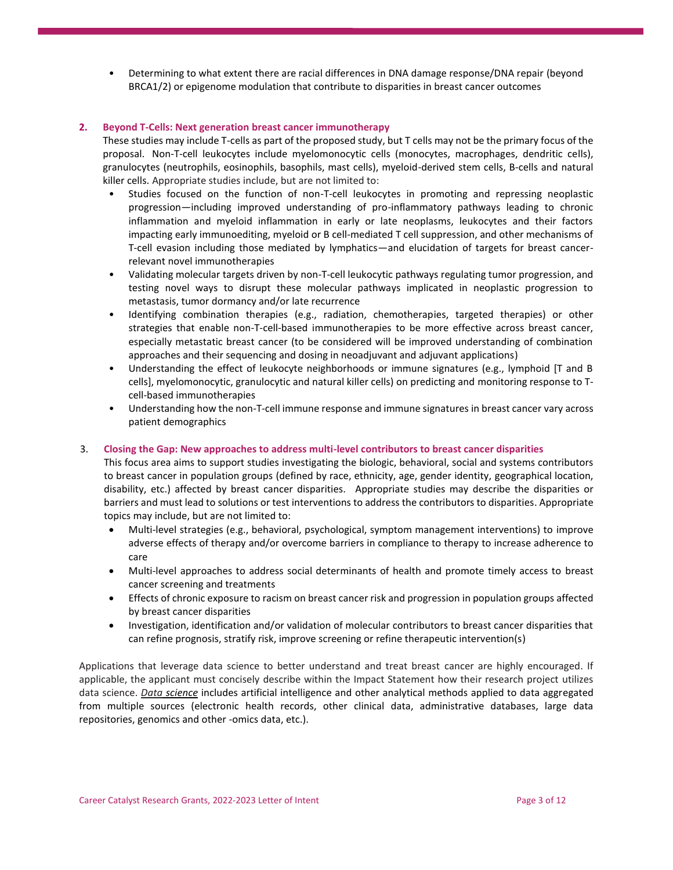• Determining to what extent there are racial differences in DNA damage response/DNA repair (beyond BRCA1/2) or epigenome modulation that contribute to disparities in breast cancer outcomes

# **2. Beyond T-Cells: Next generation breast cancer immunotherapy**

These studies may include T-cells as part of the proposed study, but T cells may not be the primary focus of the proposal. Non-T-cell leukocytes include myelomonocytic cells (monocytes, macrophages, dendritic cells), granulocytes (neutrophils, eosinophils, basophils, mast cells), myeloid-derived stem cells, B-cells and natural killer cells. Appropriate studies include, but are not limited to:

- Studies focused on the function of non-T-cell leukocytes in promoting and repressing neoplastic progression—including improved understanding of pro-inflammatory pathways leading to chronic inflammation and myeloid inflammation in early or late neoplasms, leukocytes and their factors impacting early immunoediting, myeloid or B cell-mediated T cell suppression, and other mechanisms of T-cell evasion including those mediated by lymphatics—and elucidation of targets for breast cancerrelevant novel immunotherapies
- Validating molecular targets driven by non-T-cell leukocytic pathways regulating tumor progression, and testing novel ways to disrupt these molecular pathways implicated in neoplastic progression to metastasis, tumor dormancy and/or late recurrence
- Identifying combination therapies (e.g., radiation, chemotherapies, targeted therapies) or other strategies that enable non-T-cell-based immunotherapies to be more effective across breast cancer, especially metastatic breast cancer (to be considered will be improved understanding of combination approaches and their sequencing and dosing in neoadjuvant and adjuvant applications)
- Understanding the effect of leukocyte neighborhoods or immune signatures (e.g., lymphoid [T and B cells], myelomonocytic, granulocytic and natural killer cells) on predicting and monitoring response to Tcell-based immunotherapies
- Understanding how the non-T-cell immune response and immune signatures in breast cancer vary across patient demographics

# 3. **Closing the Gap: New approaches to address multi-level contributors to breast cancer disparities**

This focus area aims to support studies investigating the biologic, behavioral, social and systems contributors to breast cancer in population groups (defined by race, ethnicity, age, gender identity, geographical location, disability, etc.) affected by breast cancer disparities. Appropriate studies may describe the disparities or barriers and must lead to solutions or test interventions to address the contributors to disparities. Appropriate topics may include, but are not limited to:

- Multi-level strategies (e.g., behavioral, psychological, symptom management interventions) to improve adverse effects of therapy and/or overcome barriers in compliance to therapy to increase adherence to care
- Multi-level approaches to address social determinants of health and promote timely access to breast cancer screening and treatments
- Effects of chronic exposure to racism on breast cancer risk and progression in population groups affected by breast cancer disparities
- Investigation, identification and/or validation of molecular contributors to breast cancer disparities that can refine prognosis, stratify risk, improve screening or refine therapeutic intervention(s)

Applications that leverage data science to better understand and treat breast cancer are highly encouraged. If applicable, the applicant must concisely describe within the Impact Statement how their research project utilizes data science. *Data science* includes artificial intelligence and other analytical methods applied to data aggregated from multiple sources (electronic health records, other clinical data, administrative databases, large data repositories, genomics and other -omics data, etc.).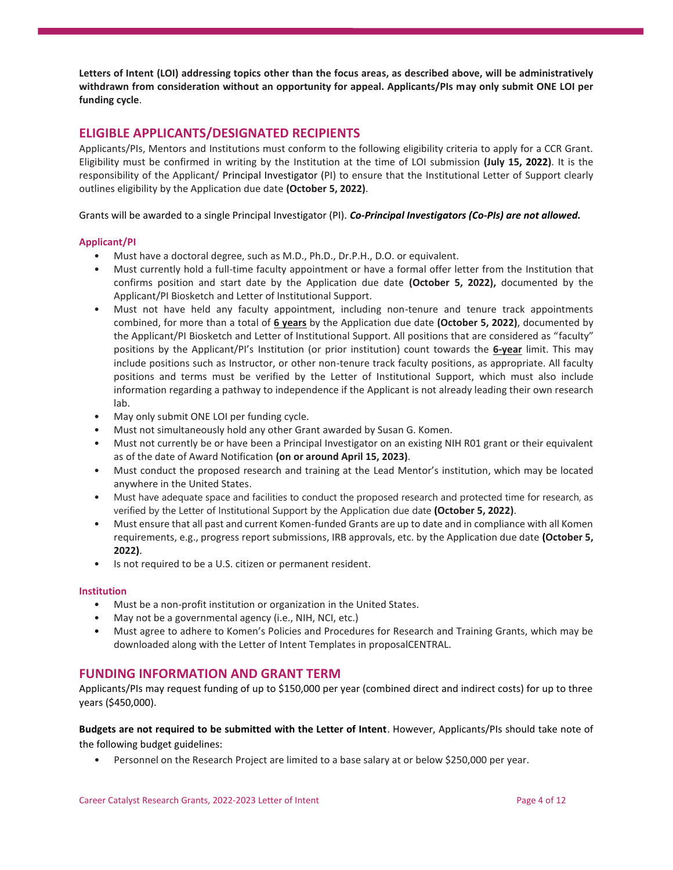**Letters of Intent (LOI) addressing topics other than the focus areas, as described above, will be administratively withdrawn from consideration without an opportunity for appeal. Applicants/PIs may only submit ONE LOI per funding cycle**.

# **ELIGIBLE APPLICANTS/DESIGNATED RECIPIENTS**

Applicants/PIs, Mentors and Institutions must conform to the following eligibility criteria to apply for a CCR Grant. Eligibility must be confirmed in writing by the Institution at the time of LOI submission **(July 15, 2022)**. It is the responsibility of the Applicant/ Principal Investigator (PI) to ensure that the Institutional Letter of Support clearly outlines eligibility by the Application due date **(October 5, 2022)**.

Grants will be awarded to a single Principal Investigator (PI). *Co-Principal Investigators (Co-PIs) are not allowed.*

# **Applicant/PI**

- Must have a doctoral degree, such as M.D., Ph.D., Dr.P.H., D.O. or equivalent.
- Must currently hold a full-time faculty appointment or have a formal offer letter from the Institution that confirms position and start date by the Application due date **(October 5, 2022),** documented by the Applicant/PI Biosketch and Letter of Institutional Support.
- Must not have held any faculty appointment, including non-tenure and tenure track appointments combined, for more than a total of **6 years** by the Application due date **(October 5, 2022)**, documented by the Applicant/PI Biosketch and Letter of Institutional Support. All positions that are considered as "faculty" positions by the Applicant/PI's Institution (or prior institution) count towards the **6-year** limit. This may include positions such as Instructor, or other non-tenure track faculty positions, as appropriate. All faculty positions and terms must be verified by the Letter of Institutional Support, which must also include information regarding a pathway to independence if the Applicant is not already leading their own research lab.
- May only submit ONE LOI per funding cycle.
- Must not simultaneously hold any other Grant awarded by Susan G. Komen.
- Must not currently be or have been a Principal Investigator on an existing NIH R01 grant or their equivalent as of the date of Award Notification **(on or around April 15, 2023)**.
- Must conduct the proposed research and training at the Lead Mentor's institution, which may be located anywhere in the United States.
- Must have adequate space and facilities to conduct the proposed research and protected time for research, as verified by the Letter of Institutional Support by the Application due date **(October 5, 2022)**.
- Must ensure that all past and current Komen-funded Grants are up to date and in compliance with all Komen requirements, e.g., progress report submissions, IRB approvals, etc. by the Application due date **(October 5, 2022)**.
- Is not required to be a U.S. citizen or permanent resident.

# **Institution**

- Must be a non-profit institution or organization in the United States.
- May not be a governmental agency (i.e., NIH, NCI, etc.)
- Must agree to adhere to Komen's Policies and Procedures for Research and Training Grants, which may be downloaded along with the Letter of Intent Templates in proposalCENTRAL.

# **FUNDING INFORMATION AND GRANT TERM**

Applicants/PIs may request funding of up to \$150,000 per year (combined direct and indirect costs) for up to three years (\$450,000).

**Budgets are not required to be submitted with the Letter of Intent**. However, Applicants/PIs should take note of the following budget guidelines:

• Personnel on the Research Project are limited to a base salary at or below \$250,000 per year.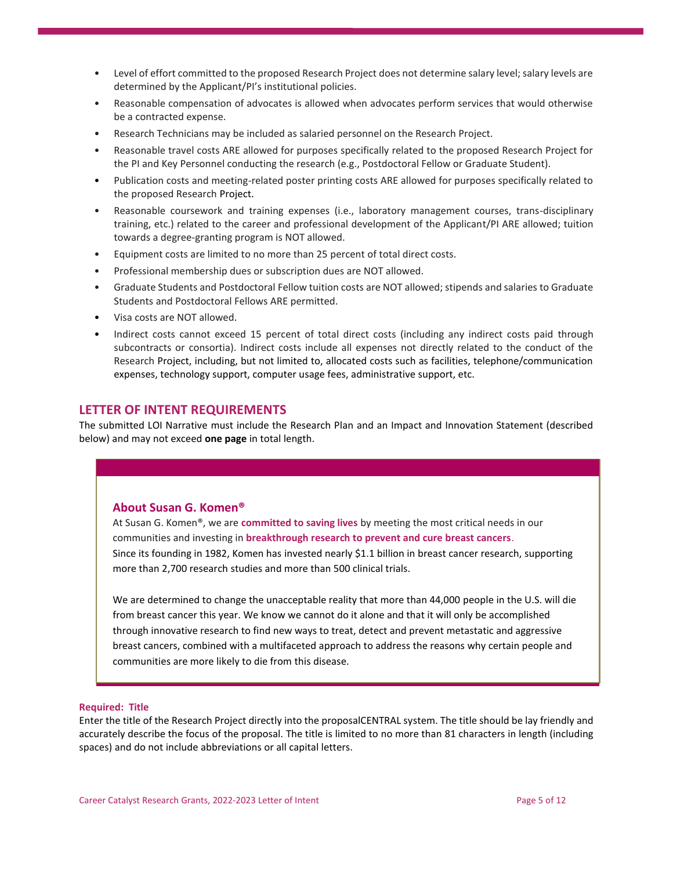- Level of effort committed to the proposed Research Project does not determine salary level; salary levels are determined by the Applicant/PI's institutional policies.
- Reasonable compensation of advocates is allowed when advocates perform services that would otherwise be a contracted expense.
- Research Technicians may be included as salaried personnel on the Research Project.
- Reasonable travel costs ARE allowed for purposes specifically related to the proposed Research Project for the PI and Key Personnel conducting the research (e.g., Postdoctoral Fellow or Graduate Student).
- Publication costs and meeting-related poster printing costs ARE allowed for purposes specifically related to the proposed Research Project.
- Reasonable coursework and training expenses (i.e., laboratory management courses, trans-disciplinary training, etc.) related to the career and professional development of the Applicant/PI ARE allowed; tuition towards a degree-granting program is NOT allowed.
- Equipment costs are limited to no more than 25 percent of total direct costs.
- Professional membership dues or subscription dues are NOT allowed.
- Graduate Students and Postdoctoral Fellow tuition costs are NOT allowed; stipends and salaries to Graduate Students and Postdoctoral Fellows ARE permitted.
- Visa costs are NOT allowed.
- Indirect costs cannot exceed 15 percent of total direct costs (including any indirect costs paid through subcontracts or consortia). Indirect costs include all expenses not directly related to the conduct of the Research Project, including, but not limited to, allocated costs such as facilities, telephone/communication expenses, technology support, computer usage fees, administrative support, etc.

# **LETTER OF INTENT REQUIREMENTS**

The submitted LOI Narrative must include the Research Plan and an Impact and Innovation Statement (described below) and may not exceed **one page** in total length.

# **About Susan G. Komen®**

At Susan G. Komen®, we are **committed to saving lives** by meeting the most critical needs in our communities and investing in **breakthrough research to prevent and cure breast cancers**. Since its founding in 1982, Komen has invested nearly \$1.1 billion in breast cancer research, supporting more than 2,700 research studies and more than 500 clinical trials.

We are determined to change the unacceptable reality that more than 44,000 people in the U.S. will die from breast cancer this year. We know we cannot do it alone and that it will only be accomplished through innovative research to find new ways to treat, detect and prevent metastatic and aggressive breast cancers, combined with a multifaceted approach to address the reasons why certain people and communities are more likely to die from this disease.

#### **Required: Title**

Enter the title of the Research Project directly into the proposalCENTRAL system. The title should be lay friendly and accurately describe the focus of the proposal. The title is limited to no more than 81 characters in length (including spaces) and do not include abbreviations or all capital letters.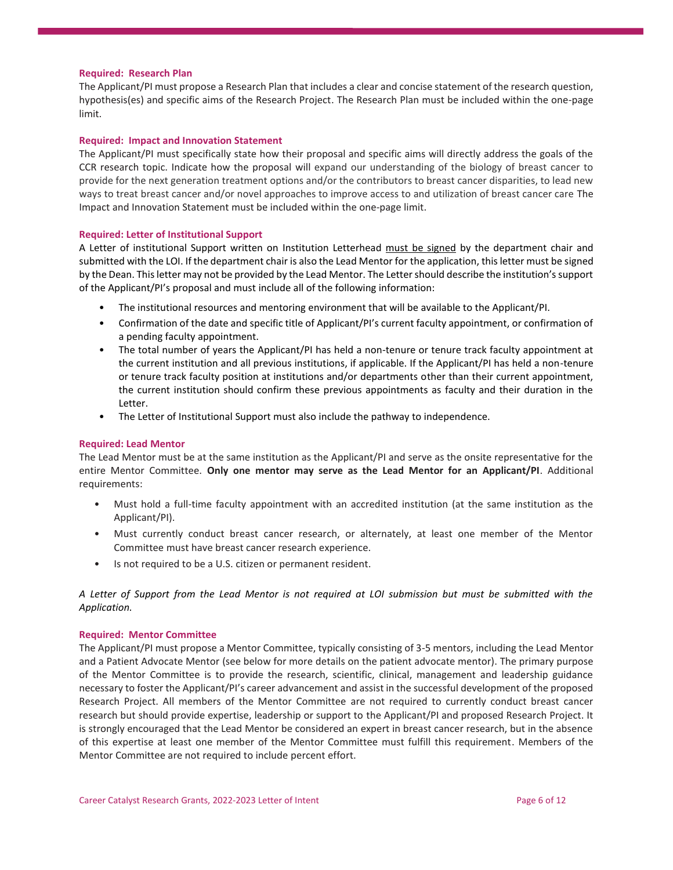#### **Required: Research Plan**

The Applicant/PI must propose a Research Plan that includes a clear and concise statement of the research question, hypothesis(es) and specific aims of the Research Project. The Research Plan must be included within the one-page limit.

#### **Required: Impact and Innovation Statement**

The Applicant/PI must specifically state how their proposal and specific aims will directly address the goals of the CCR research topic. Indicate how the proposal will expand our understanding of the biology of breast cancer to provide for the next generation treatment options and/or the contributors to breast cancer disparities, to lead new ways to treat breast cancer and/or novel approaches to improve access to and utilization of breast cancer care The Impact and Innovation Statement must be included within the one-page limit.

#### **Required: Letter of Institutional Support**

A Letter of institutional Support written on Institution Letterhead must be signed by the department chair and submitted with the LOI. If the department chair is also the Lead Mentor for the application, this letter must be signed by the Dean. This letter may not be provided by the Lead Mentor. The Letter should describe the institution's support of the Applicant/PI's proposal and must include all of the following information:

- The institutional resources and mentoring environment that will be available to the Applicant/PI.
- Confirmation of the date and specific title of Applicant/PI's current faculty appointment, or confirmation of a pending faculty appointment.
- The total number of years the Applicant/PI has held a non-tenure or tenure track faculty appointment at the current institution and all previous institutions, if applicable. If the Applicant/PI has held a non-tenure or tenure track faculty position at institutions and/or departments other than their current appointment, the current institution should confirm these previous appointments as faculty and their duration in the Letter.
- The Letter of Institutional Support must also include the pathway to independence.

# **Required: Lead Mentor**

The Lead Mentor must be at the same institution as the Applicant/PI and serve as the onsite representative for the entire Mentor Committee. **Only one mentor may serve as the Lead Mentor for an Applicant/PI**. Additional requirements:

- Must hold a full-time faculty appointment with an accredited institution (at the same institution as the Applicant/PI).
- Must currently conduct breast cancer research, or alternately, at least one member of the Mentor Committee must have breast cancer research experience.
- Is not required to be a U.S. citizen or permanent resident.

*A Letter of Support from the Lead Mentor is not required at LOI submission but must be submitted with the Application.* 

#### **Required: Mentor Committee**

The Applicant/PI must propose a Mentor Committee, typically consisting of 3-5 mentors, including the Lead Mentor and a Patient Advocate Mentor (see below for more details on the patient advocate mentor). The primary purpose of the Mentor Committee is to provide the research, scientific, clinical, management and leadership guidance necessary to foster the Applicant/PI's career advancement and assist in the successful development of the proposed Research Project. All members of the Mentor Committee are not required to currently conduct breast cancer research but should provide expertise, leadership or support to the Applicant/PI and proposed Research Project. It is strongly encouraged that the Lead Mentor be considered an expert in breast cancer research, but in the absence of this expertise at least one member of the Mentor Committee must fulfill this requirement. Members of the Mentor Committee are not required to include percent effort.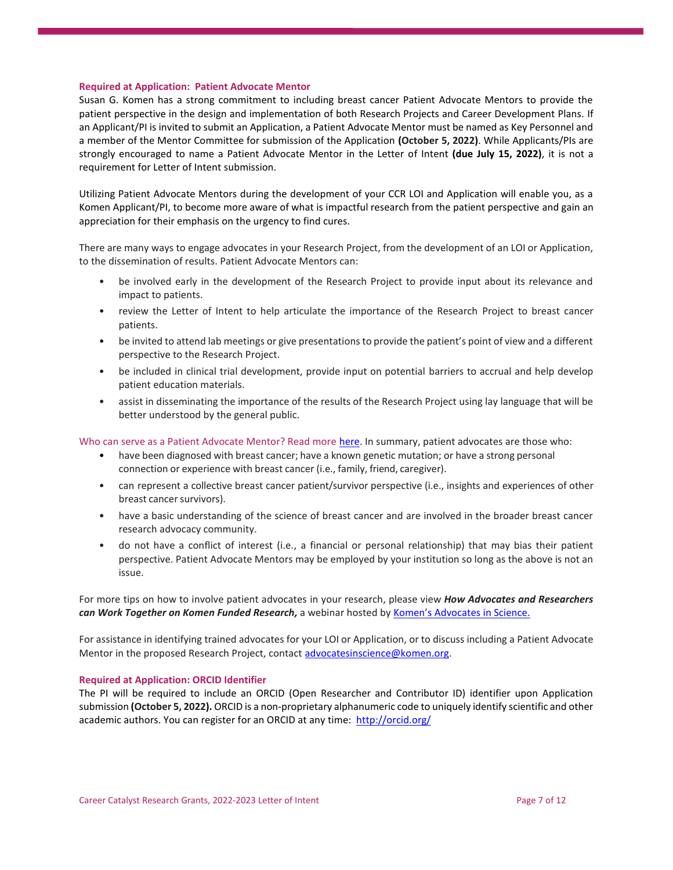#### **Required at Application: Patient Advocate Mentor**

Susan G. Komen has a strong commitment to including breast cancer Patient Advocate Mentors to provide the patient perspective in the design and implementation of both Research Projects and Career Development Plans. If an Applicant/PI is invited to submit an Application, a Patient Advocate Mentor must be named as Key Personnel and a member of the Mentor Committee for submission of the Application **(October 5, 2022)**. While Applicants/PIs are strongly encouraged to name a Patient Advocate Mentor in the Letter of Intent **(due July 15, 2022)**, it is not a requirement for Letter of Intent submission.

Utilizing Patient Advocate Mentors during the development of your CCR LOI and Application will enable you, as a Komen Applicant/PI, to become more aware of what is impactful research from the patient perspective and gain an appreciation for their emphasis on the urgency to find cures.

There are many ways to engage advocates in your Research Project, from the development of an LOI or Application, to the dissemination of results. Patient Advocate Mentors can:

- be involved early in the development of the Research Project to provide input about its relevance and impact to patients.
- review the Letter of Intent to help articulate the importance of the Research Project to breast cancer patients.
- be invited to attend lab meetings or give presentations to provide the patient's point of view and a different perspective to the Research Project.
- be included in clinical trial development, provide input on potential barriers to accrual and help develop patient education materials.
- assist in disseminating the importance of the results of the Research Project using lay language that will be better understood by the general public.

Who can serve as a Patient Advocate Mentor? Read mor[e here.](https://ww5.komen.org/uploadedFiles/_Komen/Content/Get_Involved/Participate/Become_an_Advocate/Guide-Documents-for-Researchers-and-Advocates-0717.pdf) In summary, patient advocates are those who:

- have been diagnosed with breast cancer; have a known genetic mutation; or have a strong personal connection or experience with breast cancer (i.e., family, friend, caregiver).
- can represent a collective breast cancer patient/survivor perspective (i.e., insights and experiences of other breast cancer survivors).
- have a basic understanding of the science of breast cancer and are involved in the broader breast cancer research advocacy community.
- do not have a conflict of interest (i.e., a financial or personal relationship) that may bias their patient perspective. Patient Advocate Mentors may be employed by your institution so long as the above is not an issue.

For more tips on how to involve patient advocates in your research, please view *How Advocates and Researchers can Work Together on Komen Funded Research,* a webinar hosted by [Komen's Advocates in Science](http://ww5.komen.org/WhatWeDo/WeFundResearch/BringingthePatientVoicetoResearch/BringingthePatientVoicetoResearch.html).

For assistance in identifying trained advocates for your LOI or Application, or to discuss including a Patient Advocate Mentor in the proposed Research Project, contact [advocatesinscience@komen.org.](mailto:advocatesinscience@komen.org)

# **Required at Application: ORCID Identifier**

The PI will be required to include an ORCID (Open Researcher and Contributor ID) identifier upon Application submission **(October 5, 2022).** ORCID is a non-proprietary alphanumeric code to uniquely identify scientific and other academic authors. You can register for an ORCID at any time: <http://orcid.org/>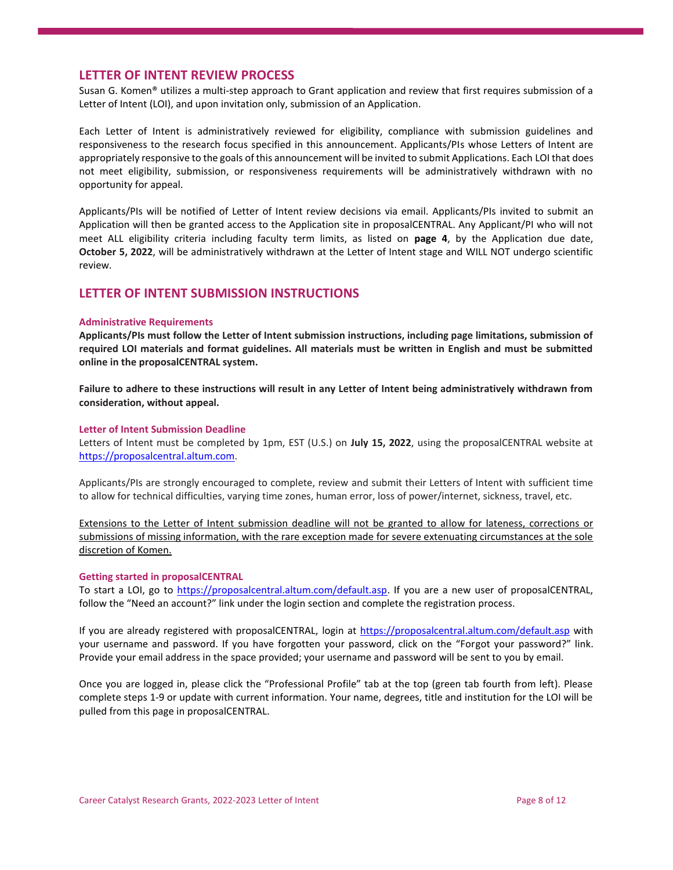# **LETTER OF INTENT REVIEW PROCESS**

Susan G. Komen® utilizes a multi-step approach to Grant application and review that first requires submission of a Letter of Intent (LOI), and upon invitation only, submission of an Application.

Each Letter of Intent is administratively reviewed for eligibility, compliance with submission guidelines and responsiveness to the research focus specified in this announcement. Applicants/PIs whose Letters of Intent are appropriately responsive to the goals of this announcement will be invited to submit Applications. Each LOI that does not meet eligibility, submission, or responsiveness requirements will be administratively withdrawn with no opportunity for appeal.

Applicants/PIs will be notified of Letter of Intent review decisions via email. Applicants/PIs invited to submit an Application will then be granted access to the Application site in proposalCENTRAL. Any Applicant/PI who will not meet ALL eligibility criteria including faculty term limits, as listed on **page 4**, by the Application due date, **October 5, 2022**, will be administratively withdrawn at the Letter of Intent stage and WILL NOT undergo scientific review.

# **LETTER OF INTENT SUBMISSION INSTRUCTIONS**

# **Administrative Requirements**

**Applicants/PIs must follow the Letter of Intent submission instructions, including page limitations, submission of required LOI materials and format guidelines. All materials must be written in English and must be submitted online in the proposalCENTRAL system.** 

**Failure to adhere to these instructions will result in any Letter of Intent being administratively withdrawn from consideration, without appeal.** 

#### **Letter of Intent Submission Deadline**

Letters of Intent must be completed by 1pm, EST (U.S.) on **July 15, 2022**, using the proposalCENTRAL website at [https://proposalcentral.altum.com.](https://proposalcentral.altum.com/)

Applicants/PIs are strongly encouraged to complete, review and submit their Letters of Intent with sufficient time to allow for technical difficulties, varying time zones, human error, loss of power/internet, sickness, travel, etc.

Extensions to the Letter of Intent submission deadline will not be granted to allow for lateness, corrections or submissions of missing information, with the rare exception made for severe extenuating circumstances at the sole discretion of Komen.

#### **Getting started in proposalCENTRAL**

To start a LOI, go to [https://proposalcentral.altum.com/default.asp.](https://proposalcentral.altum.com/default.asp) If you are a new user of proposalCENTRAL, follow the "Need an account?" link under the login section and complete the registration process.

If you are already registered with proposalCENTRAL, login at<https://proposalcentral.altum.com/default.asp> with your username and password. If you have forgotten your password, click on the "Forgot your password?" link. Provide your email address in the space provided; your username and password will be sent to you by email.

Once you are logged in, please click the "Professional Profile" tab at the top (green tab fourth from left). Please complete steps 1-9 or update with current information. Your name, degrees, title and institution for the LOI will be pulled from this page in proposalCENTRAL.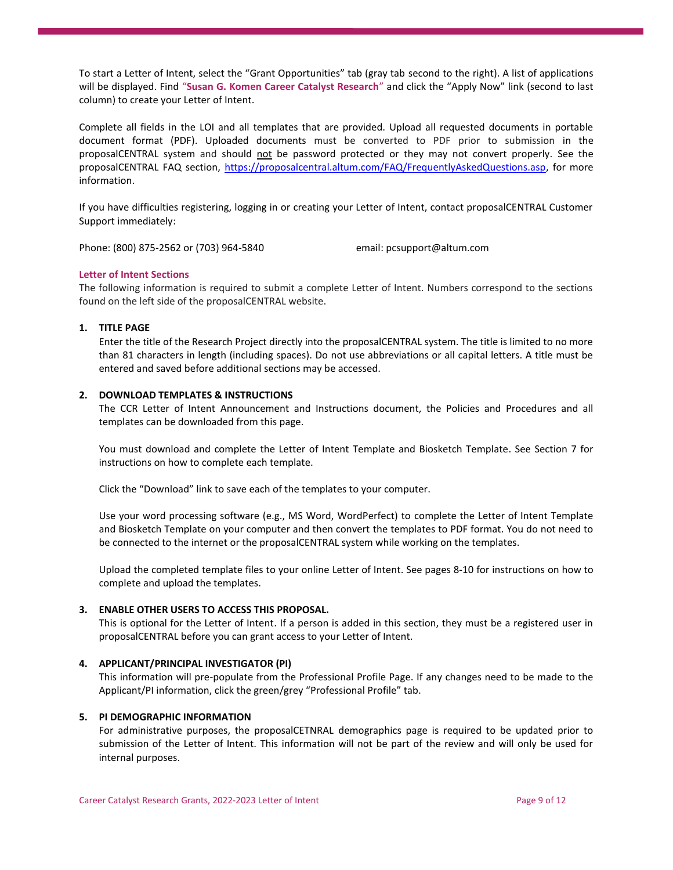To start a Letter of Intent, select the "Grant Opportunities" tab (gray tab second to the right). A list of applications will be displayed. Find "**Susan G. Komen Career Catalyst Research**" and click the "Apply Now" link (second to last column) to create your Letter of Intent.

Complete all fields in the LOI and all templates that are provided. Upload all requested documents in portable document format (PDF). Uploaded documents must be converted to PDF prior to submission in the proposalCENTRAL system and should not be password protected or they may not convert properly. See the proposalCENTRAL FAQ section, [https://proposalcentral.altum.com/FAQ/FrequentlyAskedQuestions.asp,](https://proposalcentral.altum.com/FAQ/FrequentlyAskedQuestions.asp) for more information.

If you have difficulties registering, logging in or creating your Letter of Intent, contact proposalCENTRAL Customer Support immediately:

Phone: (800) 875-2562 or (703) 964-5840 email: pcsupport@altum.com

# **Letter of Intent Sections**

The following information is required to submit a complete Letter of Intent. Numbers correspond to the sections found on the left side of the proposalCENTRAL website.

# **1. TITLE PAGE**

Enter the title of the Research Project directly into the proposalCENTRAL system. The title is limited to no more than 81 characters in length (including spaces). Do not use abbreviations or all capital letters. A title must be entered and saved before additional sections may be accessed.

# **2. DOWNLOAD TEMPLATES & INSTRUCTIONS**

The CCR Letter of Intent Announcement and Instructions document, the Policies and Procedures and all templates can be downloaded from this page.

You must download and complete the Letter of Intent Template and Biosketch Template. See Section 7 for instructions on how to complete each template.

Click the "Download" link to save each of the templates to your computer.

Use your word processing software (e.g., MS Word, WordPerfect) to complete the Letter of Intent Template and Biosketch Template on your computer and then convert the templates to PDF format. You do not need to be connected to the internet or the proposalCENTRAL system while working on the templates.

Upload the completed template files to your online Letter of Intent. See pages 8-10 for instructions on how to complete and upload the templates.

# **3. ENABLE OTHER USERS TO ACCESS THIS PROPOSAL.**

This is optional for the Letter of Intent. If a person is added in this section, they must be a registered user in proposalCENTRAL before you can grant access to your Letter of Intent.

# **4. APPLICANT/PRINCIPAL INVESTIGATOR (PI)**

This information will pre-populate from the Professional Profile Page. If any changes need to be made to the Applicant/PI information, click the green/grey "Professional Profile" tab.

# **5. PI DEMOGRAPHIC INFORMATION**

For administrative purposes, the proposalCETNRAL demographics page is required to be updated prior to submission of the Letter of Intent. This information will not be part of the review and will only be used for internal purposes.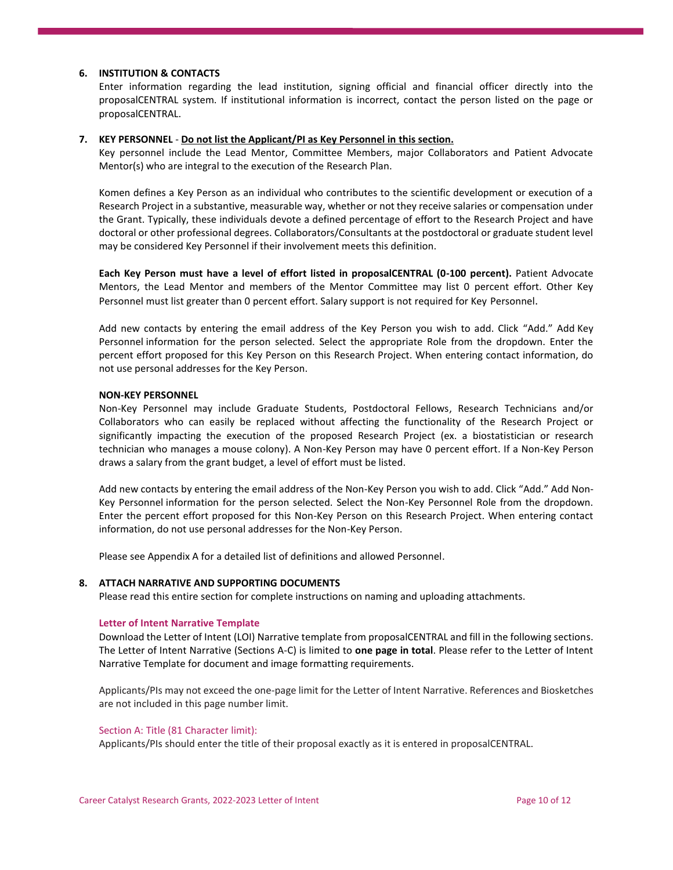# **6. INSTITUTION & CONTACTS**

Enter information regarding the lead institution, signing official and financial officer directly into the proposalCENTRAL system. If institutional information is incorrect, contact the person listed on the page or proposalCENTRAL.

# **7. KEY PERSONNEL** - **Do not list the Applicant/PI as Key Personnel in this section.**

Key personnel include the Lead Mentor, Committee Members, major Collaborators and Patient Advocate Mentor(s) who are integral to the execution of the Research Plan.

Komen defines a Key Person as an individual who contributes to the scientific development or execution of a Research Project in a substantive, measurable way, whether or not they receive salaries or compensation under the Grant. Typically, these individuals devote a defined percentage of effort to the Research Project and have doctoral or other professional degrees. Collaborators/Consultants at the postdoctoral or graduate student level may be considered Key Personnel if their involvement meets this definition.

**Each Key Person must have a level of effort listed in proposalCENTRAL (0-100 percent).** Patient Advocate Mentors, the Lead Mentor and members of the Mentor Committee may list 0 percent effort. Other Key Personnel must list greater than 0 percent effort. Salary support is not required for Key Personnel.

Add new contacts by entering the email address of the Key Person you wish to add. Click "Add." Add Key Personnel information for the person selected. Select the appropriate Role from the dropdown. Enter the percent effort proposed for this Key Person on this Research Project. When entering contact information, do not use personal addresses for the Key Person.

#### **NON-KEY PERSONNEL**

Non-Key Personnel may include Graduate Students, Postdoctoral Fellows, Research Technicians and/or Collaborators who can easily be replaced without affecting the functionality of the Research Project or significantly impacting the execution of the proposed Research Project (ex. a biostatistician or research technician who manages a mouse colony). A Non-Key Person may have 0 percent effort. If a Non-Key Person draws a salary from the grant budget, a level of effort must be listed.

Add new contacts by entering the email address of the Non-Key Person you wish to add. Click "Add." Add Non-Key Personnel information for the person selected. Select the Non-Key Personnel Role from the dropdown. Enter the percent effort proposed for this Non-Key Person on this Research Project. When entering contact information, do not use personal addresses for the Non-Key Person.

Please see Appendix A for a detailed list of definitions and allowed Personnel.

# **8. ATTACH NARRATIVE AND SUPPORTING DOCUMENTS**

Please read this entire section for complete instructions on naming and uploading attachments.

#### **Letter of Intent Narrative Template**

Download the Letter of Intent (LOI) Narrative template from proposalCENTRAL and fill in the following sections. The Letter of Intent Narrative (Sections A-C) is limited to **one page in total**. Please refer to the Letter of Intent Narrative Template for document and image formatting requirements.

Applicants/PIs may not exceed the one-page limit for the Letter of Intent Narrative. References and Biosketches are not included in this page number limit.

#### Section A: Title (81 Character limit):

Applicants/PIs should enter the title of their proposal exactly as it is entered in proposalCENTRAL.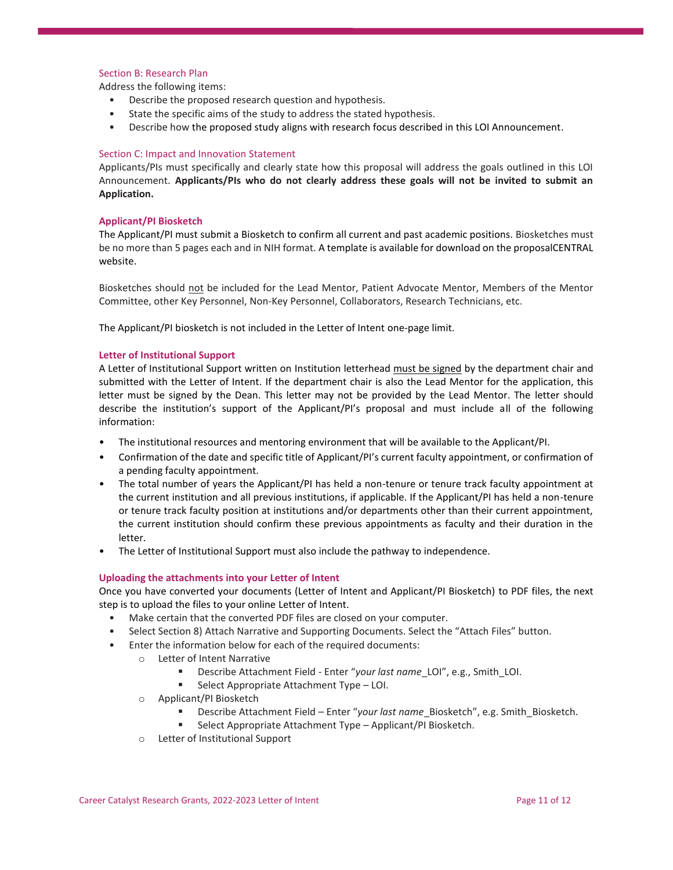#### Section B: Research Plan

Address the following items:

- Describe the proposed research question and hypothesis.
- State the specific aims of the study to address the stated hypothesis.
- Describe how the proposed study aligns with research focus described in this LOI Announcement.

# Section C: Impact and Innovation Statement

Applicants/PIs must specifically and clearly state how this proposal will address the goals outlined in this LOI Announcement. **Applicants/PIs who do not clearly address these goals will not be invited to submit an Application.**

# **Applicant/PI Biosketch**

The Applicant/PI must submit a Biosketch to confirm all current and past academic positions. Biosketches must be no more than 5 pages each and in NIH format. A template is available for download on the proposalCENTRAL website.

Biosketches should not be included for the Lead Mentor, Patient Advocate Mentor, Members of the Mentor Committee, other Key Personnel, Non-Key Personnel, Collaborators, Research Technicians, etc.

The Applicant/PI biosketch is not included in the Letter of Intent one-page limit.

#### **Letter of Institutional Support**

A Letter of Institutional Support written on Institution letterhead must be signed by the department chair and submitted with the Letter of Intent. If the department chair is also the Lead Mentor for the application, this letter must be signed by the Dean. This letter may not be provided by the Lead Mentor. The letter should describe the institution's support of the Applicant/PI's proposal and must include all of the following information:

- The institutional resources and mentoring environment that will be available to the Applicant/PI.
- Confirmation of the date and specific title of Applicant/PI's current faculty appointment, or confirmation of a pending faculty appointment.
- The total number of years the Applicant/PI has held a non-tenure or tenure track faculty appointment at the current institution and all previous institutions, if applicable. If the Applicant/PI has held a non-tenure or tenure track faculty position at institutions and/or departments other than their current appointment, the current institution should confirm these previous appointments as faculty and their duration in the letter.
- The Letter of Institutional Support must also include the pathway to independence.

# **Uploading the attachments into your Letter of Intent**

Once you have converted your documents (Letter of Intent and Applicant/PI Biosketch) to PDF files, the next step is to upload the files to your online Letter of Intent.

- Make certain that the converted PDF files are closed on your computer.
- Select Section 8) Attach Narrative and Supporting Documents. Select the "Attach Files" button.
- Enter the information below for each of the required documents:
	- o Letter of Intent Narrative
		- Describe Attachment Field Enter "*your last name* LOI", e.g., Smith LOI.
		- Select Appropriate Attachment Type LOI.
	- o Applicant/PI Biosketch
		- Describe Attachment Field Enter "*your last name* Biosketch", e.g. Smith Biosketch.
		- Select Appropriate Attachment Type Applicant/PI Biosketch.
	- o Letter of Institutional Support